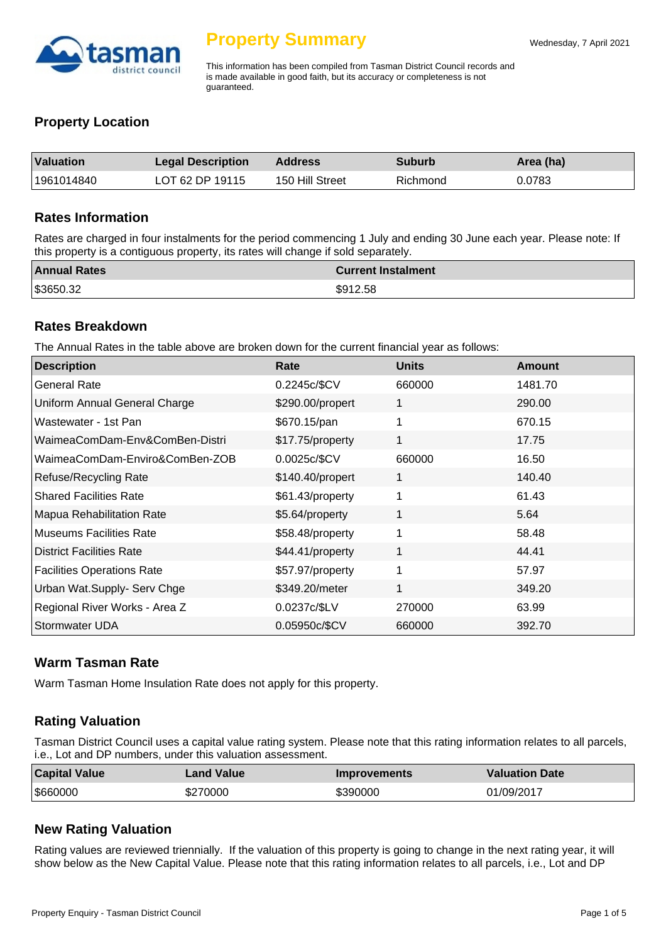

This information has been compiled from Tasman District Council records and is made available in good faith, but its accuracy or completeness is not guaranteed.

# **Property Location**

| <b>Valuation</b> | <b>Legal Description</b> | <b>Address</b>  | <b>Suburb</b> | Area (ha) |
|------------------|--------------------------|-----------------|---------------|-----------|
| 1961014840       | LOT 62 DP 19115          | 150 Hill Street | Richmond      | 0.0783    |

#### **Rates Information**

Rates are charged in four instalments for the period commencing 1 July and ending 30 June each year. Please note: If this property is a contiguous property, its rates will change if sold separately.

| <b>Annual Rates</b> | <b>Current Instalment</b> |
|---------------------|---------------------------|
| \$3650.32           | \$912.58                  |

## **Rates Breakdown**

The Annual Rates in the table above are broken down for the current financial year as follows:

| <b>Description</b>                | Rate             | <b>Units</b> | Amount  |
|-----------------------------------|------------------|--------------|---------|
| <b>General Rate</b>               | 0.2245c/\$CV     | 660000       | 1481.70 |
| Uniform Annual General Charge     | \$290.00/propert | 1            | 290.00  |
| Wastewater - 1st Pan              | \$670.15/pan     | 1            | 670.15  |
| WaimeaComDam-Env&ComBen-Distri    | \$17.75/property | 1            | 17.75   |
| WaimeaComDam-Enviro&ComBen-ZOB    | 0.0025c/\$CV     | 660000       | 16.50   |
| Refuse/Recycling Rate             | \$140.40/propert | 1            | 140.40  |
| <b>Shared Facilities Rate</b>     | \$61.43/property | 1            | 61.43   |
| Mapua Rehabilitation Rate         | \$5.64/property  | 1            | 5.64    |
| <b>Museums Facilities Rate</b>    | \$58.48/property | 1            | 58.48   |
| <b>District Facilities Rate</b>   | \$44.41/property | 1            | 44.41   |
| <b>Facilities Operations Rate</b> | \$57.97/property | 1            | 57.97   |
| Urban Wat.Supply- Serv Chge       | \$349.20/meter   | 1            | 349.20  |
| Regional River Works - Area Z     | 0.0237c/\$LV     | 270000       | 63.99   |
| Stormwater UDA                    | 0.05950c/\$CV    | 660000       | 392.70  |

## **Warm Tasman Rate**

Warm Tasman Home Insulation Rate does not apply for this property.

# **Rating Valuation**

Tasman District Council uses a capital value rating system. Please note that this rating information relates to all parcels, i.e., Lot and DP numbers, under this valuation assessment.

| <b>Capital Value</b> | <b>Land Value</b> | <b>Improvements</b> | <b>Valuation Date</b> |
|----------------------|-------------------|---------------------|-----------------------|
| \$660000             | \$270000          | \$390000            | 01/09/2017            |

# **New Rating Valuation**

Rating values are reviewed triennially. If the valuation of this property is going to change in the next rating year, it will show below as the New Capital Value. Please note that this rating information relates to all parcels, i.e., Lot and DP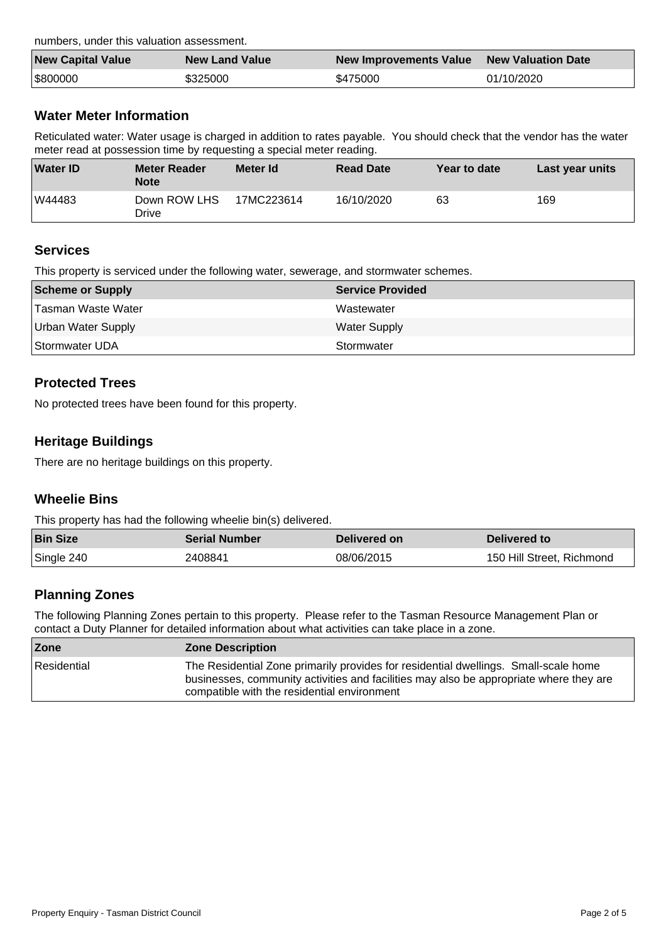numbers, under this valuation assessment.

| <b>New Capital Value</b> | <b>New Land Value</b> | New Improvements Value | <b>New Valuation Date</b> |
|--------------------------|-----------------------|------------------------|---------------------------|
| \$800000                 | \$325000              | \$475000               | 01/10/2020                |

# **Water Meter Information**

Reticulated water: Water usage is charged in addition to rates payable. You should check that the vendor has the water meter read at possession time by requesting a special meter reading.

| <b>Water ID</b> | <b>Meter Reader</b><br><b>Note</b> | Meter Id   | <b>Read Date</b> | Year to date | Last year units |
|-----------------|------------------------------------|------------|------------------|--------------|-----------------|
| W44483          | Down ROW LHS<br>Drive              | 17MC223614 | 16/10/2020       | 63           | 169             |

# **Services**

This property is serviced under the following water, sewerage, and stormwater schemes.

| Scheme or Supply          | <b>Service Provided</b> |
|---------------------------|-------------------------|
| Tasman Waste Water        | Wastewater              |
| <b>Urban Water Supply</b> | <b>Water Supply</b>     |
| Stormwater UDA            | Stormwater              |

# **Protected Trees**

No protected trees have been found for this property.

# **Heritage Buildings**

There are no heritage buildings on this property.

# **Wheelie Bins**

This property has had the following wheelie bin(s) delivered.

| <b>Bin Size</b> | <b>Serial Number</b> | Delivered on | Delivered to              |
|-----------------|----------------------|--------------|---------------------------|
| Single 240      | 2408841              | 08/06/2015   | 150 Hill Street, Richmond |

# **Planning Zones**

The following Planning Zones pertain to this property. Please refer to the Tasman Resource Management Plan or contact a Duty Planner for detailed information about what activities can take place in a zone.

| Zone        | <b>Zone Description</b>                                                                                                                                                                                                      |
|-------------|------------------------------------------------------------------------------------------------------------------------------------------------------------------------------------------------------------------------------|
| Residential | The Residential Zone primarily provides for residential dwellings. Small-scale home<br>businesses, community activities and facilities may also be appropriate where they are<br>compatible with the residential environment |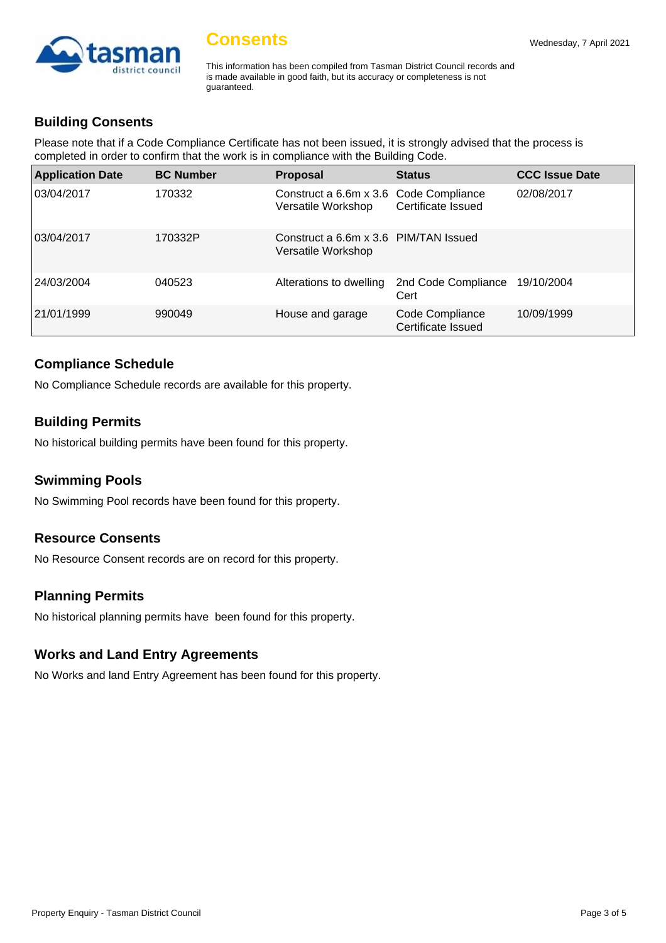

This information has been compiled from Tasman District Council records and is made available in good faith, but its accuracy or completeness is not guaranteed.

## **Building Consents**

Please note that if a Code Compliance Certificate has not been issued, it is strongly advised that the process is completed in order to confirm that the work is in compliance with the Building Code.

| <b>Application Date</b> | <b>BC Number</b> | <b>Proposal</b>                                              | <b>Status</b>                         | <b>CCC Issue Date</b> |
|-------------------------|------------------|--------------------------------------------------------------|---------------------------------------|-----------------------|
| 03/04/2017              | 170332           | Construct a 6.6m x 3.6 Code Compliance<br>Versatile Workshop | Certificate Issued                    | 02/08/2017            |
| 03/04/2017              | 170332P          | Construct a 6.6m x 3.6 PIM/TAN Issued<br>Versatile Workshop  |                                       |                       |
| 24/03/2004              | 040523           | Alterations to dwelling                                      | 2nd Code Compliance<br>Cert           | 19/10/2004            |
| 21/01/1999              | 990049           | House and garage                                             | Code Compliance<br>Certificate Issued | 10/09/1999            |

## **Compliance Schedule**

No Compliance Schedule records are available for this property.

## **Building Permits**

No historical building permits have been found for this property.

## **Swimming Pools**

No Swimming Pool records have been found for this property.

## **Resource Consents**

No Resource Consent records are on record for this property.

## **Planning Permits**

No historical planning permits have been found for this property.

## **Works and Land Entry Agreements**

No Works and land Entry Agreement has been found for this property.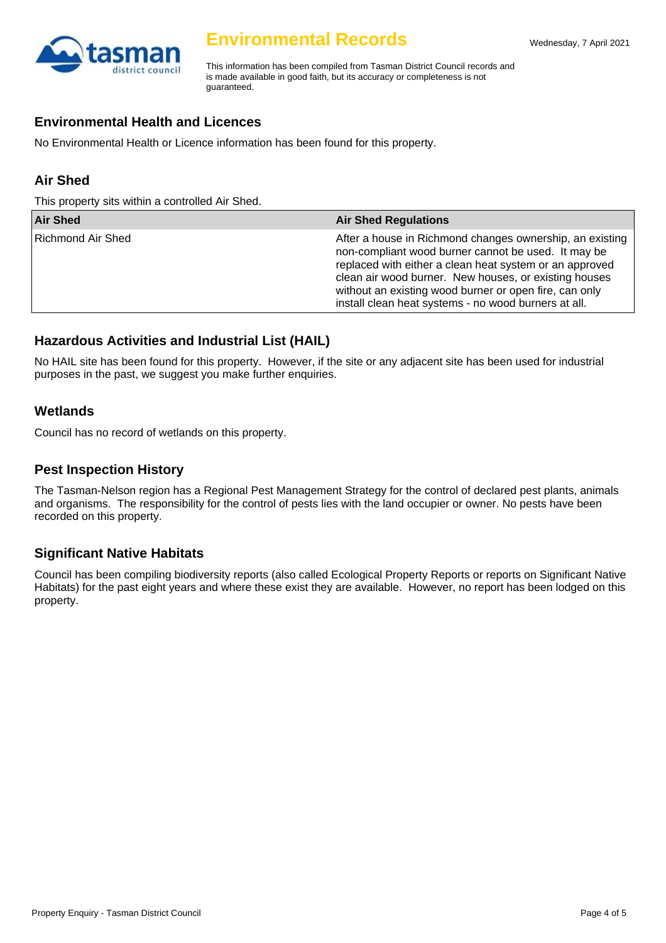

# **Environmental Records**

This information has been compiled from Tasman District Council records and is made available in good faith, but its accuracy or completeness is not guaranteed.

## **Environmental Health and Licences**

No Environmental Health or Licence information has been found for this property.

# **Air Shed**

This property sits within a controlled Air Shed.

| <b>Air Shed</b>   | <b>Air Shed Regulations</b>                                                                                                                                                                                                                                                                                                                           |
|-------------------|-------------------------------------------------------------------------------------------------------------------------------------------------------------------------------------------------------------------------------------------------------------------------------------------------------------------------------------------------------|
| Richmond Air Shed | After a house in Richmond changes ownership, an existing<br>non-compliant wood burner cannot be used. It may be<br>replaced with either a clean heat system or an approved<br>clean air wood burner. New houses, or existing houses<br>without an existing wood burner or open fire, can only<br>install clean heat systems - no wood burners at all. |

# **Hazardous Activities and Industrial List (HAIL)**

No HAIL site has been found for this property. However, if the site or any adjacent site has been used for industrial purposes in the past, we suggest you make further enquiries.

## **Wetlands**

Council has no record of wetlands on this property.

#### **Pest Inspection History**

The Tasman-Nelson region has a Regional Pest Management Strategy for the control of declared pest plants, animals and organisms. The responsibility for the control of pests lies with the land occupier or owner. No pests have been recorded on this property.

## **Significant Native Habitats**

Council has been compiling biodiversity reports (also called Ecological Property Reports or reports on Significant Native Habitats) for the past eight years and where these exist they are available. However, no report has been lodged on this property.